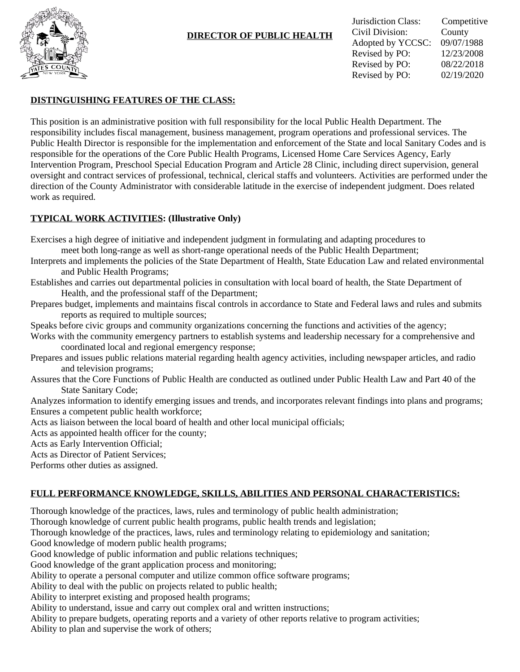

# **DIRECTOR OF PUBLIC HEALTH**

## **DISTINGUISHING FEATURES OF THE CLASS:**

This position is an administrative position with full responsibility for the local Public Health Department. The responsibility includes fiscal management, business management, program operations and professional services. The Public Health Director is responsible for the implementation and enforcement of the State and local Sanitary Codes and is responsible for the operations of the Core Public Health Programs, Licensed Home Care Services Agency, Early Intervention Program, Preschool Special Education Program and Article 28 Clinic, including direct supervision, general oversight and contract services of professional, technical, clerical staffs and volunteers. Activities are performed under the direction of the County Administrator with considerable latitude in the exercise of independent judgment. Does related work as required.

## **TYPICAL WORK ACTIVITIES: (Illustrative Only)**

Exercises a high degree of initiative and independent judgment in formulating and adapting procedures to meet both long-range as well as short-range operational needs of the Public Health Department;

- Interprets and implements the policies of the State Department of Health, State Education Law and related environmental and Public Health Programs;
- Establishes and carries out departmental policies in consultation with local board of health, the State Department of Health, and the professional staff of the Department;
- Prepares budget, implements and maintains fiscal controls in accordance to State and Federal laws and rules and submits reports as required to multiple sources;
- Speaks before civic groups and community organizations concerning the functions and activities of the agency;
- Works with the community emergency partners to establish systems and leadership necessary for a comprehensive and coordinated local and regional emergency response;
- Prepares and issues public relations material regarding health agency activities, including newspaper articles, and radio and television programs;
- Assures that the Core Functions of Public Health are conducted as outlined under Public Health Law and Part 40 of the State Sanitary Code;

Analyzes information to identify emerging issues and trends, and incorporates relevant findings into plans and programs; Ensures a competent public health workforce;

Acts as liaison between the local board of health and other local municipal officials;

Acts as appointed health officer for the county;

Acts as Early Intervention Official;

Acts as Director of Patient Services;

Performs other duties as assigned.

## **FULL PERFORMANCE KNOWLEDGE, SKILLS, ABILITIES AND PERSONAL CHARACTERISTICS:**

Thorough knowledge of the practices, laws, rules and terminology of public health administration;

Thorough knowledge of current public health programs, public health trends and legislation;

Thorough knowledge of the practices, laws, rules and terminology relating to epidemiology and sanitation;

Good knowledge of modern public health programs;

Good knowledge of public information and public relations techniques;

Good knowledge of the grant application process and monitoring;

Ability to operate a personal computer and utilize common office software programs;

Ability to deal with the public on projects related to public health;

Ability to interpret existing and proposed health programs;

Ability to understand, issue and carry out complex oral and written instructions;

Ability to prepare budgets, operating reports and a variety of other reports relative to program activities; Ability to plan and supervise the work of others;